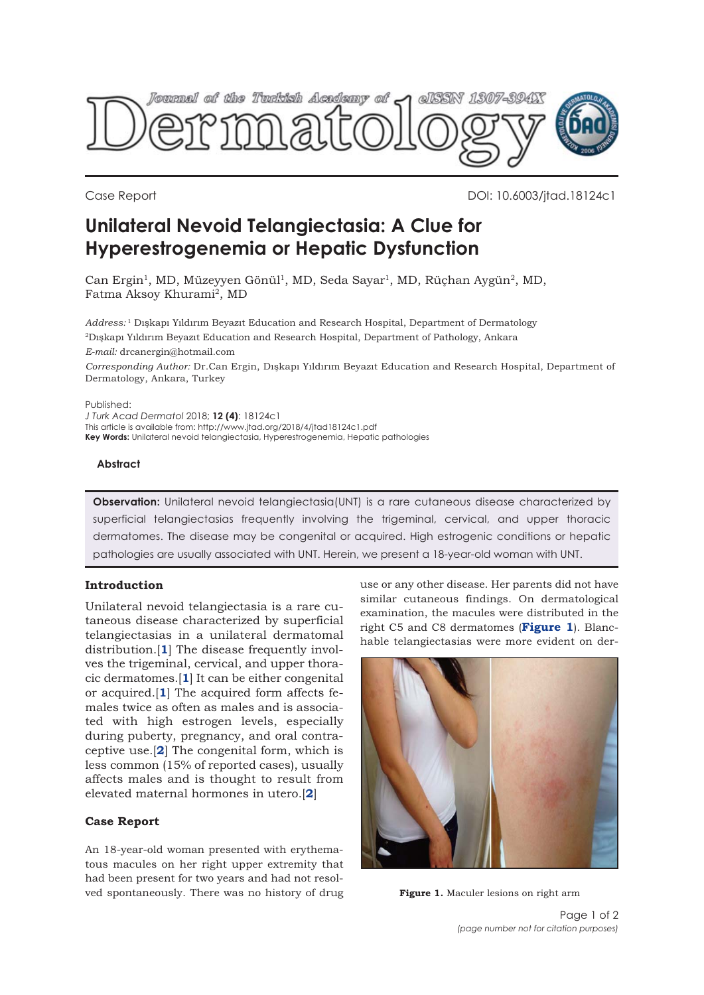

Case Report DOI: 10.6003/jtad.18124c1

# **Unilateral Nevoid Telangiectasia: A Clue for Hyperestrogenemia or Hepatic Dysfunction**

Can Ergin<sup>1</sup>, MD, Müzeyyen Gönül<sup>1</sup>, MD, Seda Sayar<sup>1</sup>, MD, Rüchan Aygün<sup>2</sup>, MD, Fatma Aksoy Khurami<sup>2</sup>, MD

*Address:* <sup>1</sup> Dışkapı Yıldırım Beyazıt Education and Research Hospital, Department of Dermatology 2Dışkapı Yıldırım Beyazıt Education and Research Hospital, Department of Pathology, Ankara *E-mail:* drcanergin@hotmail.com

*Corresponding Author:* Dr.Can Ergin, Dışkapı Yıldırım Beyazıt Education and Research Hospital, Department of Dermatology, Ankara, Turkey

Published:

*J Turk Acad Dermatol* 2018; **12 (4)**: 18124c1 This article is available from: http://www.jtad.org/2018/4/jtad18124c1.pdf **Key Words:** Unilateral nevoid telangiectasia, Hyperestrogenemia, Hepatic pathologies

#### **Abstract**

**Observation:** Unilateral nevoid telangiectasia(UNT) is a rare cutaneous disease characterized by superficial telangiectasias frequently involving the trigeminal, cervical, and upper thoracic dermatomes. The disease may be congenital or acquired. High estrogenic conditions or hepatic pathologies are usually associated with UNT. Herein, we present a 18-year-old woman with UNT.

# **Introduction**

Unilateral nevoid telangiectasia is a rare cutaneous disease characterized by superficial telangiectasias in a unilateral dermatomal distribution.[**[1](#page-1-0)**] The disease frequently involves the trigeminal, cervical, and upper thoracic dermatomes.[**[1](#page-1-0)**] It can be either congenital or acquired.[**[1](#page-1-0)**] The acquired form affects females twice as often as males and is associated with high estrogen levels, especially during puberty, pregnancy, and oral contraceptive use.[**[2](#page-1-0)**] The congenital form, which is less common (15% of reported cases), usually affects males and is thought to result from elevated maternal hormones in utero.[**[2](#page-1-0)**]

#### **Case Report**

An 18-year-old woman presented with erythematous macules on her right upper extremity that had been present for two years and had not resolved spontaneously. There was no history of drug use or any other disease. Her parents did not have similar cutaneous findings. On dermatological examination, the macules were distributed in the right C5 and C8 dermatomes (**Figure 1**). Blanchable telangiectasias were more evident on der-



**Figure 1.** Maculer lesions on right arm